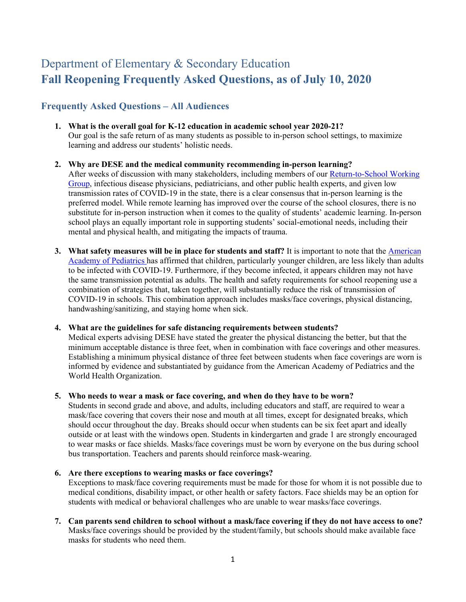# Department of Elementary & Secondary Education **Fall Reopening Frequently Asked Questions, as of July 10, 2020**

# **Frequently Asked Questions – All Audiences**

- **1. What is the overall goal for K-12 education in academic school year 2020-21?** Our goal is the safe return of as many students as possible to in-person school settings, to maximize learning and address our students' holistic needs.
- **2. Why are DESE and the medical community recommending in-person learning?** After weeks of discussion with many stakeholders, including members of our Return-to-School Working Group, infectious disease physicians, pediatricians, and other public health experts, and given low transmission rates of COVID-19 in the state, there is a clear consensus that in-person learning is the preferred model. While remote learning has improved over the course of the school closures, there is no substitute for in-person instruction when it comes to the quality of students' academic learning. In-person school plays an equally important role in supporting students' social-emotional needs, including their mental and physical health, and mitigating the impacts of trauma.
- **3.** What safety measures will be in place for students and staff? It is important to note that the **American** Academy of Pediatrics has affirmed that children, particularly younger children, are less likely than adults to be infected with COVID-19. Furthermore, if they become infected, it appears children may not have the same transmission potential as adults. The health and safety requirements for school reopening use a combination of strategies that, taken together, will substantially reduce the risk of transmission of COVID-19 in schools. This combination approach includes masks/face coverings, physical distancing, handwashing/sanitizing, and staying home when sick.

#### **4. What are the guidelines for safe distancing requirements between students?**

Medical experts advising DESE have stated the greater the physical distancing the better, but that the minimum acceptable distance is three feet, when in combination with face coverings and other measures. Establishing a minimum physical distance of three feet between students when face coverings are worn is informed by evidence and substantiated by guidance from the American Academy of Pediatrics and the World Health Organization.

#### **5. Who needs to wear a mask or face covering, and when do they have to be worn?**

Students in second grade and above, and adults, including educators and staff, are required to wear a mask/face covering that covers their nose and mouth at all times, except for designated breaks, which should occur throughout the day. Breaks should occur when students can be six feet apart and ideally outside or at least with the windows open. Students in kindergarten and grade 1 are strongly encouraged to wear masks or face shields. Masks/face coverings must be worn by everyone on the bus during school bus transportation. Teachers and parents should reinforce mask-wearing.

#### **6. Are there exceptions to wearing masks or face coverings?**

Exceptions to mask/face covering requirements must be made for those for whom it is not possible due to medical conditions, disability impact, or other health or safety factors. Face shields may be an option for students with medical or behavioral challenges who are unable to wear masks/face coverings.

**7. Can parents send children to school without a mask/face covering if they do not have access to one?** Masks/face coverings should be provided by the student/family, but schools should make available face masks for students who need them.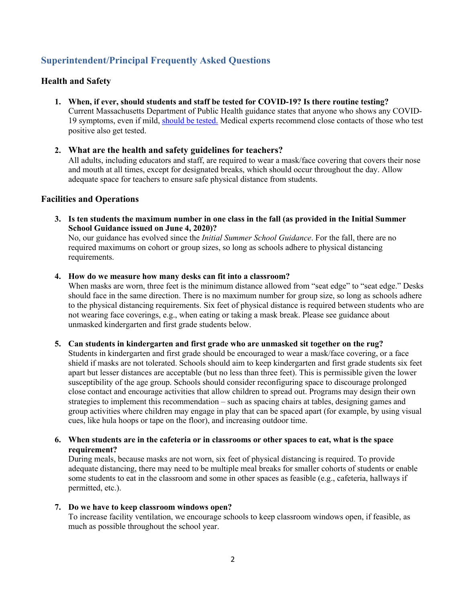# **Superintendent/Principal Frequently Asked Questions**

# **Health and Safety**

- **1. When, if ever, should students and staff be tested for COVID-19? Is there routine testing?** Current Massachusetts Department of Public Health guidance states that anyone who shows any COVID-19 symptoms, even if mild, should be tested. Medical experts recommend close contacts of those who test positive also get tested.
- **2. What are the health and safety guidelines for teachers?** All adults, including educators and staff, are required to wear a mask/face covering that covers their nose and mouth at all times, except for designated breaks, which should occur throughout the day. Allow adequate space for teachers to ensure safe physical distance from students.

#### **Facilities and Operations**

**3. Is ten students the maximum number in one class in the fall (as provided in the Initial Summer School Guidance issued on June 4, 2020)?** 

No, our guidance has evolved since the *Initial Summer School Guidance*. For the fall, there are no required maximums on cohort or group sizes, so long as schools adhere to physical distancing requirements.

#### **4. How do we measure how many desks can fit into a classroom?**

When masks are worn, three feet is the minimum distance allowed from "seat edge" to "seat edge." Desks should face in the same direction. There is no maximum number for group size, so long as schools adhere to the physical distancing requirements. Six feet of physical distance is required between students who are not wearing face coverings, e.g., when eating or taking a mask break. Please see guidance about unmasked kindergarten and first grade students below.

#### **5. Can students in kindergarten and first grade who are unmasked sit together on the rug?**

Students in kindergarten and first grade should be encouraged to wear a mask/face covering, or a face shield if masks are not tolerated. Schools should aim to keep kindergarten and first grade students six feet apart but lesser distances are acceptable (but no less than three feet). This is permissible given the lower susceptibility of the age group. Schools should consider reconfiguring space to discourage prolonged close contact and encourage activities that allow children to spread out. Programs may design their own strategies to implement this recommendation – such as spacing chairs at tables, designing games and group activities where children may engage in play that can be spaced apart (for example, by using visual cues, like hula hoops or tape on the floor), and increasing outdoor time.

#### **6. When students are in the cafeteria or in classrooms or other spaces to eat, what is the space requirement?**

During meals, because masks are not worn, six feet of physical distancing is required. To provide adequate distancing, there may need to be multiple meal breaks for smaller cohorts of students or enable some students to eat in the classroom and some in other spaces as feasible (e.g., cafeteria, hallways if permitted, etc.).

#### **7. Do we have to keep classroom windows open?**

To increase facility ventilation, we encourage schools to keep classroom windows open, if feasible, as much as possible throughout the school year.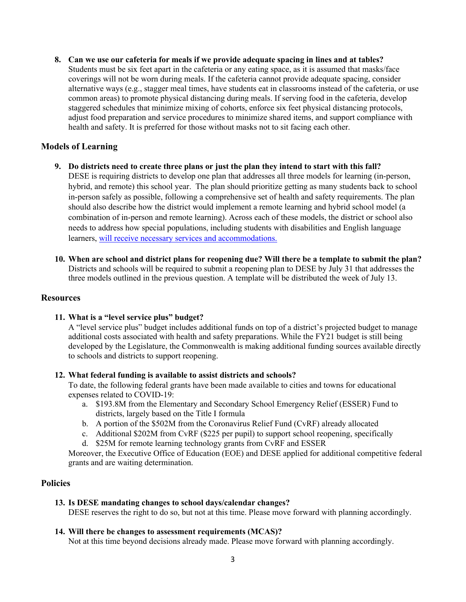**8. Can we use our cafeteria for meals if we provide adequate spacing in lines and at tables?** Students must be six feet apart in the cafeteria or any eating space, as it is assumed that masks/face coverings will not be worn during meals. If the cafeteria cannot provide adequate spacing, consider alternative ways (e.g., stagger meal times, have students eat in classrooms instead of the cafeteria, or use common areas) to promote physical distancing during meals. If serving food in the cafeteria, develop staggered schedules that minimize mixing of cohorts, enforce six feet physical distancing protocols, adjust food preparation and service procedures to minimize shared items, and support compliance with health and safety. It is preferred for those without masks not to sit facing each other.

# **Models of Learning**

- **9. Do districts need to create three plans or just the plan they intend to start with this fall?** DESE is requiring districts to develop one plan that addresses all three models for learning (in-person, hybrid, and remote) this school year. The plan should prioritize getting as many students back to school in-person safely as possible, following a comprehensive set of health and safety requirements. The plan should also describe how the district would implement a remote learning and hybrid school model (a combination of in-person and remote learning). Across each of these models, the district or school also needs to address how special populations, including students with disabilities and English language learners, will receive necessary services and accommodations.
- **10. When are school and district plans for reopening due? Will there be a template to submit the plan?** Districts and schools will be required to submit a reopening plan to DESE by July 31 that addresses the three models outlined in the previous question. A template will be distributed the week of July 13.

#### **Resources**

#### **11. What is a "level service plus" budget?**

A "level service plus" budget includes additional funds on top of a district's projected budget to manage additional costs associated with health and safety preparations. While the FY21 budget is still being developed by the Legislature, the Commonwealth is making additional funding sources available directly to schools and districts to support reopening.

#### **12. What federal funding is available to assist districts and schools?**

To date, the following federal grants have been made available to cities and towns for educational expenses related to COVID-19:

- a. \$193.8M from the Elementary and Secondary School Emergency Relief (ESSER) Fund to districts, largely based on the Title I formula
- b. A portion of the \$502M from the Coronavirus Relief Fund (CvRF) already allocated
- c. Additional \$202M from CvRF (\$225 per pupil) to support school reopening, specifically
- d. \$25M for remote learning technology grants from CvRF and ESSER

Moreover, the Executive Office of Education (EOE) and DESE applied for additional competitive federal grants and are waiting determination.

## **Policies**

## **13. Is DESE mandating changes to school days/calendar changes?**

DESE reserves the right to do so, but not at this time. Please move forward with planning accordingly.

#### **14. Will there be changes to assessment requirements (MCAS)?**

Not at this time beyond decisions already made. Please move forward with planning accordingly.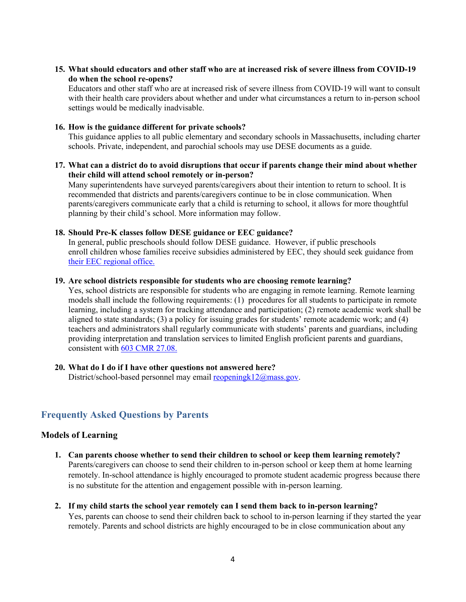# **15. What should educators and other staff who are at increased risk of severe illness from COVID-19 do when the school re-opens?**

Educators and other staff who are at increased risk of severe illness from COVID-19 will want to consult with their health care providers about whether and under what circumstances a return to in-person school settings would be medically inadvisable.

#### **16. How is the guidance different for private schools?**

This guidance applies to all public elementary and secondary schools in Massachusetts, including charter schools. Private, independent, and parochial schools may use DESE documents as a guide.

#### **17. What can a district do to avoid disruptions that occur if parents change their mind about whether their child will attend school remotely or in-person?**

Many superintendents have surveyed parents/caregivers about their intention to return to school. It is recommended that districts and parents/caregivers continue to be in close communication. When parents/caregivers communicate early that a child is returning to school, it allows for more thoughtful planning by their child's school. More information may follow.

#### **18. Should Pre-K classes follow DESE guidance or EEC guidance?**

In general, public preschools should follow DESE guidance. However, if public preschools enroll children whose families receive subsidies administered by EEC, they should seek guidance from their EEC regional office.

#### **19. Are school districts responsible for students who are choosing remote learning?**

Yes, school districts are responsible for students who are engaging in remote learning. Remote learning models shall include the following requirements: (1) procedures for all students to participate in remote learning, including a system for tracking attendance and participation; (2) remote academic work shall be aligned to state standards; (3) a policy for issuing grades for students' remote academic work; and (4) teachers and administrators shall regularly communicate with students' parents and guardians, including providing interpretation and translation services to limited English proficient parents and guardians, consistent with 603 CMR 27.08.

#### **20. What do I do if I have other questions not answered here?**

District/school-based personnel may email reopening k12@mass.gov.

# **Frequently Asked Questions by Parents**

#### **Models of Learning**

- **1. Can parents choose whether to send their children to school or keep them learning remotely?**  Parents/caregivers can choose to send their children to in-person school or keep them at home learning remotely. In-school attendance is highly encouraged to promote student academic progress because there is no substitute for the attention and engagement possible with in-person learning.
- **2. If my child starts the school year remotely can I send them back to in-person learning?** Yes, parents can choose to send their children back to school to in-person learning if they started the year remotely. Parents and school districts are highly encouraged to be in close communication about any